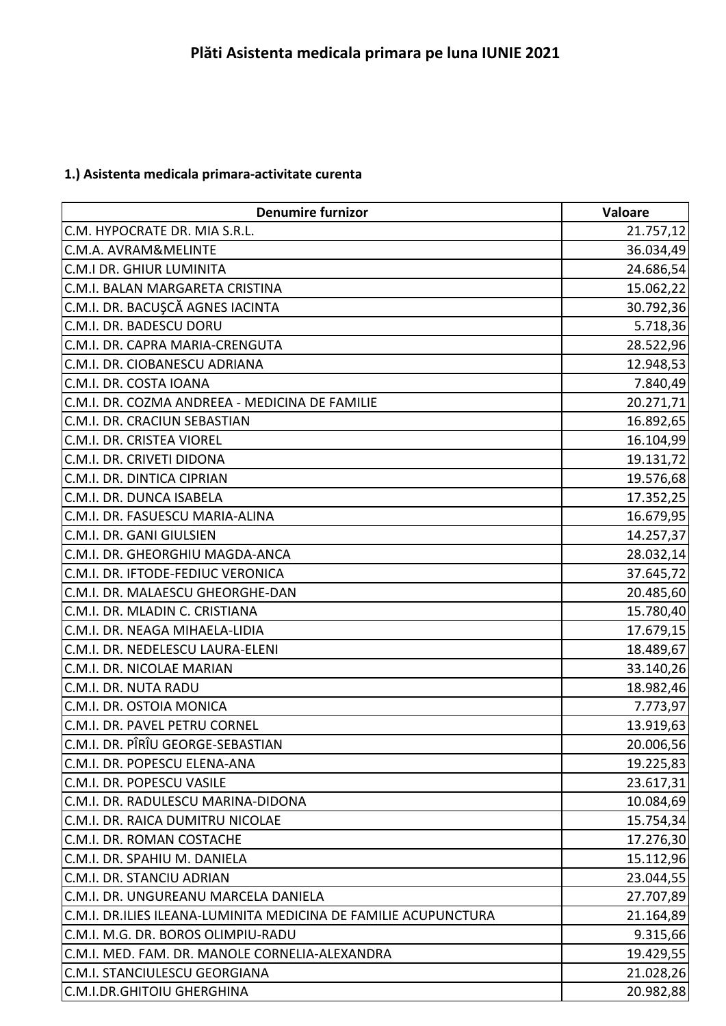## **1.) Asistenta medicala primara-activitate curenta**

| <b>Denumire furnizor</b>                                        | Valoare   |
|-----------------------------------------------------------------|-----------|
| C.M. HYPOCRATE DR. MIA S.R.L.                                   | 21.757,12 |
| C.M.A. AVRAM&MELINTE                                            | 36.034,49 |
| <b>C.M.I DR. GHIUR LUMINITA</b>                                 | 24.686,54 |
| C.M.I. BALAN MARGARETA CRISTINA                                 | 15.062,22 |
| C.M.I. DR. BACUŞCĂ AGNES IACINTA                                | 30.792,36 |
| C.M.I. DR. BADESCU DORU                                         | 5.718,36  |
| C.M.I. DR. CAPRA MARIA-CRENGUTA                                 | 28.522,96 |
| C.M.I. DR. CIOBANESCU ADRIANA                                   | 12.948,53 |
| C.M.I. DR. COSTA IOANA                                          | 7.840,49  |
| C.M.I. DR. COZMA ANDREEA - MEDICINA DE FAMILIE                  | 20.271,71 |
| C.M.I. DR. CRACIUN SEBASTIAN                                    | 16.892,65 |
| C.M.I. DR. CRISTEA VIOREL                                       | 16.104,99 |
| C.M.I. DR. CRIVETI DIDONA                                       | 19.131,72 |
| C.M.I. DR. DINTICA CIPRIAN                                      | 19.576,68 |
| C.M.I. DR. DUNCA ISABELA                                        | 17.352,25 |
| C.M.I. DR. FASUESCU MARIA-ALINA                                 | 16.679,95 |
| C.M.I. DR. GANI GIULSIEN                                        | 14.257,37 |
| C.M.I. DR. GHEORGHIU MAGDA-ANCA                                 | 28.032,14 |
| C.M.I. DR. IFTODE-FEDIUC VERONICA                               | 37.645,72 |
| C.M.I. DR. MALAESCU GHEORGHE-DAN                                | 20.485,60 |
| C.M.I. DR. MLADIN C. CRISTIANA                                  | 15.780,40 |
| C.M.I. DR. NEAGA MIHAELA-LIDIA                                  | 17.679,15 |
| C.M.I. DR. NEDELESCU LAURA-ELENI                                | 18.489,67 |
| C.M.I. DR. NICOLAE MARIAN                                       | 33.140,26 |
| C.M.I. DR. NUTA RADU                                            | 18.982,46 |
| C.M.I. DR. OSTOIA MONICA                                        | 7.773,97  |
| C.M.I. DR. PAVEL PETRU CORNEL                                   | 13.919,63 |
| C.M.I. DR. PÎRÎU GEORGE-SEBASTIAN                               | 20.006,56 |
| C.M.I. DR. POPESCU ELENA-ANA                                    | 19.225,83 |
| C.M.I. DR. POPESCU VASILE                                       | 23.617,31 |
| C.M.I. DR. RADULESCU MARINA-DIDONA                              | 10.084,69 |
| C.M.I. DR. RAICA DUMITRU NICOLAE                                | 15.754,34 |
| C.M.I. DR. ROMAN COSTACHE                                       | 17.276,30 |
| C.M.I. DR. SPAHIU M. DANIELA                                    | 15.112,96 |
| C.M.I. DR. STANCIU ADRIAN                                       | 23.044,55 |
| C.M.I. DR. UNGUREANU MARCELA DANIELA                            | 27.707,89 |
| C.M.I. DR.ILIES ILEANA-LUMINITA MEDICINA DE FAMILIE ACUPUNCTURA | 21.164,89 |
| C.M.I. M.G. DR. BOROS OLIMPIU-RADU                              | 9.315,66  |
| C.M.I. MED. FAM. DR. MANOLE CORNELIA-ALEXANDRA                  | 19.429,55 |
| <b>C.M.I. STANCIULESCU GEORGIANA</b>                            | 21.028,26 |
| C.M.I.DR.GHITOIU GHERGHINA                                      | 20.982,88 |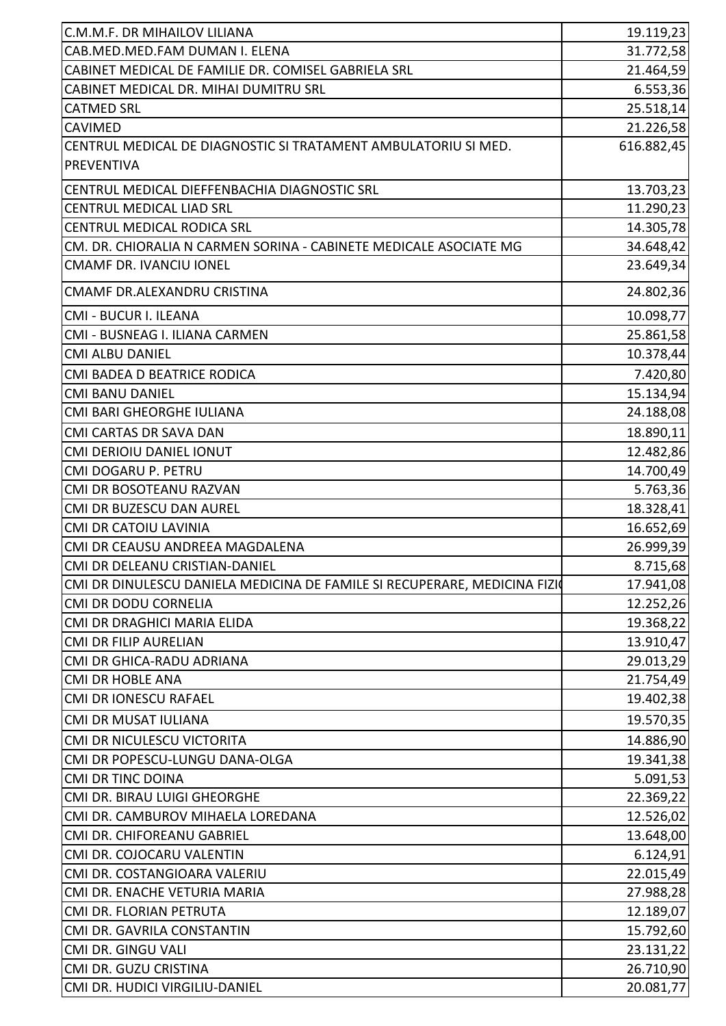| C.M.M.F. DR MIHAILOV LILIANA                                              | 19.119,23              |
|---------------------------------------------------------------------------|------------------------|
| CAB.MED.MED.FAM DUMAN I. ELENA                                            | 31.772,58              |
| CABINET MEDICAL DE FAMILIE DR. COMISEL GABRIELA SRL                       | 21.464,59              |
| CABINET MEDICAL DR. MIHAI DUMITRU SRL                                     | 6.553,36               |
| <b>CATMED SRL</b>                                                         | 25.518,14              |
| <b>CAVIMED</b>                                                            | 21.226,58              |
| CENTRUL MEDICAL DE DIAGNOSTIC SI TRATAMENT AMBULATORIU SI MED.            | 616.882,45             |
| <b>PREVENTIVA</b>                                                         |                        |
| CENTRUL MEDICAL DIEFFENBACHIA DIAGNOSTIC SRL                              | 13.703,23              |
| CENTRUL MEDICAL LIAD SRL                                                  | 11.290,23              |
| CENTRUL MEDICAL RODICA SRL                                                | 14.305,78              |
| CM. DR. CHIORALIA N CARMEN SORINA - CABINETE MEDICALE ASOCIATE MG         | 34.648,42              |
| <b>CMAMF DR. IVANCIU IONEL</b>                                            | 23.649,34              |
| CMAMF DR.ALEXANDRU CRISTINA                                               | 24.802,36              |
| CMI - BUCUR I. ILEANA                                                     | 10.098,77              |
| CMI - BUSNEAG I. ILIANA CARMEN                                            | 25.861,58              |
| <b>CMI ALBU DANIEL</b>                                                    | 10.378,44              |
| CMI BADEA D BEATRICE RODICA                                               | 7.420,80               |
| <b>CMI BANU DANIEL</b>                                                    | 15.134,94              |
| CMI BARI GHEORGHE IULIANA                                                 | 24.188,08              |
| <b>CMI CARTAS DR SAVA DAN</b>                                             | 18.890,11              |
| <b>CMI DERIOIU DANIEL IONUT</b>                                           | 12.482,86              |
| CMI DOGARU P. PETRU                                                       | 14.700,49              |
| CMI DR BOSOTEANU RAZVAN                                                   | 5.763,36               |
| CMI DR BUZESCU DAN AUREL                                                  | 18.328,41              |
| <b>CMI DR CATOIU LAVINIA</b>                                              | 16.652,69              |
| CMI DR CEAUSU ANDREEA MAGDALENA                                           | 26.999,39              |
| CMI DR DELEANU CRISTIAN-DANIEL                                            | 8.715,68               |
| CMI DR DINULESCU DANIELA MEDICINA DE FAMILE SI RECUPERARE, MEDICINA FIZIO | 17.941,08              |
| <b>CMI DR DODU CORNELIA</b>                                               | 12.252,26              |
| CMI DR DRAGHICI MARIA ELIDA                                               | 19.368,22              |
| <b>CMI DR FILIP AURELIAN</b>                                              | 13.910,47              |
| CMI DR GHICA-RADU ADRIANA                                                 | 29.013,29              |
| <b>CMI DR HOBLE ANA</b>                                                   | 21.754,49              |
| CMI DR IONESCU RAFAEL                                                     | 19.402,38              |
| CMI DR MUSAT IULIANA                                                      | 19.570,35              |
| CMI DR NICULESCU VICTORITA                                                | 14.886,90              |
| CMI DR POPESCU-LUNGU DANA-OLGA                                            | 19.341,38              |
| <b>CMI DR TINC DOINA</b>                                                  | 5.091,53               |
| CMI DR. BIRAU LUIGI GHEORGHE                                              | 22.369,22              |
| CMI DR. CAMBUROV MIHAELA LOREDANA                                         |                        |
| CMI DR. CHIFOREANU GABRIEL                                                | 12.526,02<br>13.648,00 |
| CMI DR. COJOCARU VALENTIN                                                 |                        |
| CMI DR. COSTANGIOARA VALERIU                                              | 6.124,91<br>22.015,49  |
| CMI DR. ENACHE VETURIA MARIA                                              | 27.988,28              |
| CMI DR. FLORIAN PETRUTA                                                   | 12.189,07              |
| CMI DR. GAVRILA CONSTANTIN                                                | 15.792,60              |
| CMI DR. GINGU VALI                                                        |                        |
| CMI DR. GUZU CRISTINA                                                     | 23.131,22<br>26.710,90 |
| CMI DR. HUDICI VIRGILIU-DANIEL                                            | 20.081,77              |
|                                                                           |                        |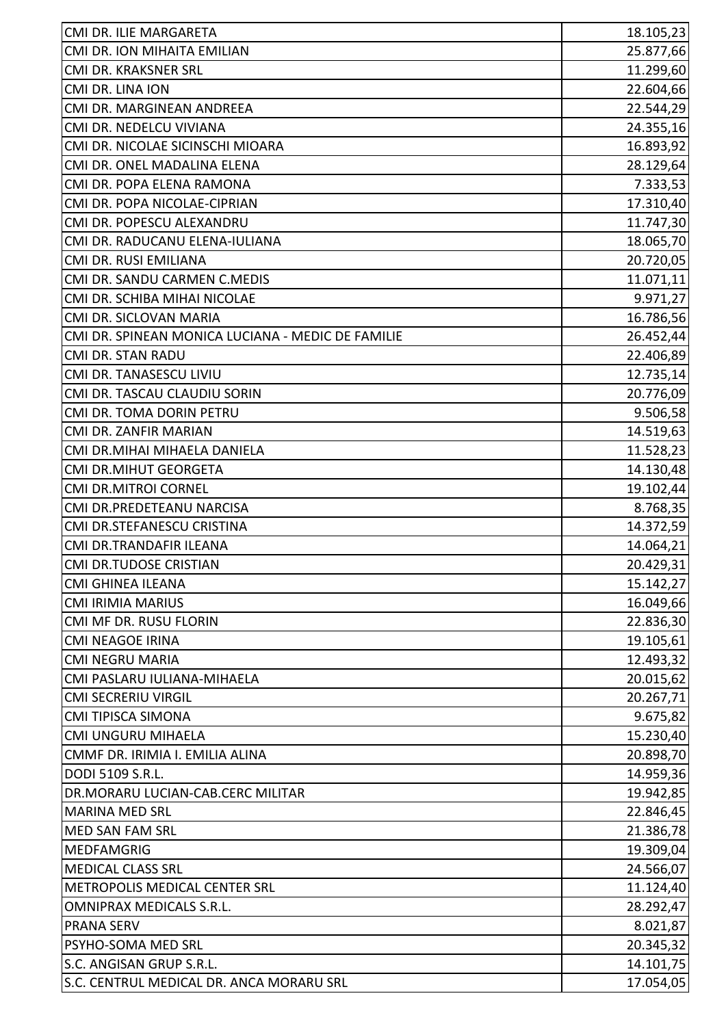| CMI DR. ILIE MARGARETA                            | 18.105,23 |
|---------------------------------------------------|-----------|
| CMI DR. ION MIHAITA EMILIAN                       | 25.877,66 |
| CMI DR. KRAKSNER SRL                              | 11.299,60 |
| CMI DR. LINA ION                                  | 22.604,66 |
| CMI DR. MARGINEAN ANDREEA                         | 22.544,29 |
| CMI DR. NEDELCU VIVIANA                           | 24.355,16 |
| CMI DR. NICOLAE SICINSCHI MIOARA                  | 16.893,92 |
| CMI DR. ONEL MADALINA ELENA                       | 28.129,64 |
| CMI DR. POPA ELENA RAMONA                         | 7.333,53  |
| CMI DR. POPA NICOLAE-CIPRIAN                      | 17.310,40 |
| CMI DR. POPESCU ALEXANDRU                         | 11.747,30 |
| CMI DR. RADUCANU ELENA-IULIANA                    | 18.065,70 |
| CMI DR. RUSI EMILIANA                             | 20.720,05 |
| CMI DR. SANDU CARMEN C.MEDIS                      | 11.071,11 |
| CMI DR. SCHIBA MIHAI NICOLAE                      | 9.971,27  |
| CMI DR. SICLOVAN MARIA                            | 16.786,56 |
| CMI DR. SPINEAN MONICA LUCIANA - MEDIC DE FAMILIE | 26.452,44 |
| <b>CMI DR. STAN RADU</b>                          | 22.406,89 |
| CMI DR. TANASESCU LIVIU                           | 12.735,14 |
| CMI DR. TASCAU CLAUDIU SORIN                      | 20.776,09 |
| CMI DR. TOMA DORIN PETRU                          | 9.506,58  |
| CMI DR. ZANFIR MARIAN                             | 14.519,63 |
| CMI DR.MIHAI MIHAELA DANIELA                      | 11.528,23 |
| <b>CMI DR.MIHUT GEORGETA</b>                      | 14.130,48 |
| <b>CMI DR.MITROI CORNEL</b>                       | 19.102,44 |
| CMI DR.PREDETEANU NARCISA                         | 8.768,35  |
| CMI DR.STEFANESCU CRISTINA                        | 14.372,59 |
| CMI DR.TRANDAFIR ILEANA                           | 14.064,21 |
| <b>CMI DR.TUDOSE CRISTIAN</b>                     | 20.429,31 |
| <b>CMI GHINEA ILEANA</b>                          | 15.142,27 |
| <b>CMI IRIMIA MARIUS</b>                          | 16.049,66 |
| CMI MF DR. RUSU FLORIN                            | 22.836,30 |
| <b>CMI NEAGOE IRINA</b>                           | 19.105,61 |
| <b>CMI NEGRU MARIA</b>                            | 12.493,32 |
| CMI PASLARU IULIANA-MIHAELA                       | 20.015,62 |
| <b>CMI SECRERIU VIRGIL</b>                        | 20.267,71 |
| CMI TIPISCA SIMONA                                | 9.675,82  |
| CMI UNGURU MIHAELA                                | 15.230,40 |
| CMMF DR. IRIMIA I. EMILIA ALINA                   | 20.898,70 |
| DODI 5109 S.R.L.                                  | 14.959,36 |
| DR.MORARU LUCIAN-CAB.CERC MILITAR                 | 19.942,85 |
| <b>MARINA MED SRL</b>                             | 22.846,45 |
| MED SAN FAM SRL                                   | 21.386,78 |
| <b>MEDFAMGRIG</b>                                 | 19.309,04 |
| <b>MEDICAL CLASS SRL</b>                          | 24.566,07 |
| METROPOLIS MEDICAL CENTER SRL                     | 11.124,40 |
| OMNIPRAX MEDICALS S.R.L.                          | 28.292,47 |
| <b>PRANA SERV</b>                                 | 8.021,87  |
| PSYHO-SOMA MED SRL                                | 20.345,32 |
| S.C. ANGISAN GRUP S.R.L.                          | 14.101,75 |
| S.C. CENTRUL MEDICAL DR. ANCA MORARU SRL          | 17.054,05 |
|                                                   |           |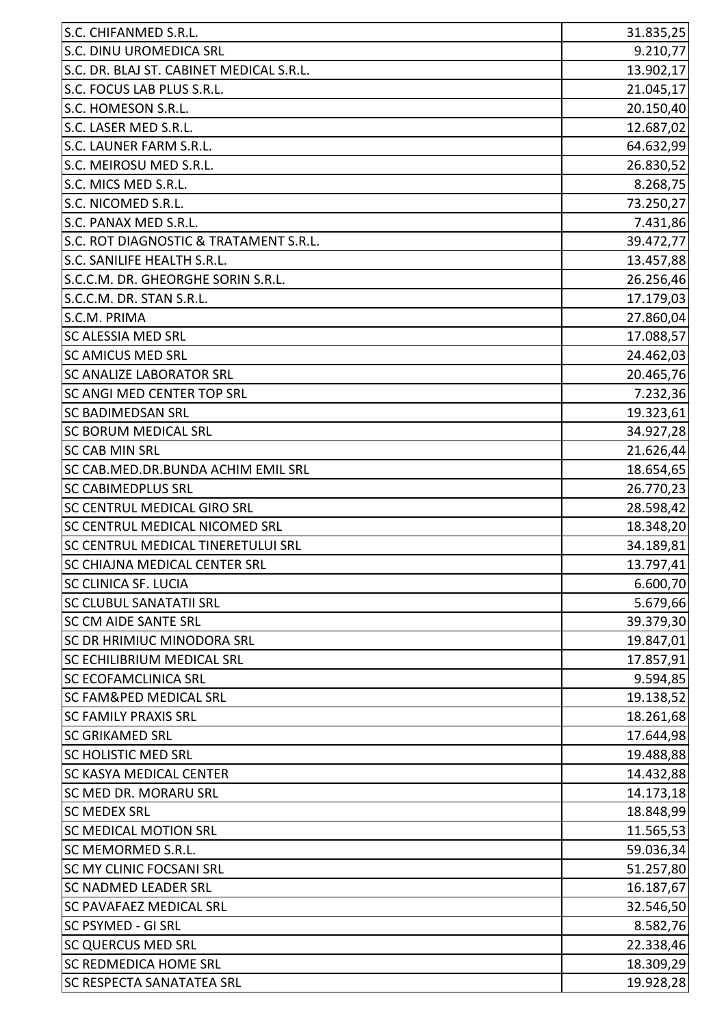| S.C. CHIFANMED S.R.L.                     | 31.835,25 |
|-------------------------------------------|-----------|
| S.C. DINU UROMEDICA SRL                   | 9.210,77  |
| S.C. DR. BLAJ ST. CABINET MEDICAL S.R.L.  | 13.902,17 |
| S.C. FOCUS LAB PLUS S.R.L.                | 21.045,17 |
| S.C. HOMESON S.R.L.                       | 20.150,40 |
| S.C. LASER MED S.R.L.                     | 12.687,02 |
| S.C. LAUNER FARM S.R.L.                   | 64.632,99 |
| S.C. MEIROSU MED S.R.L.                   | 26.830,52 |
| S.C. MICS MED S.R.L.                      | 8.268,75  |
| S.C. NICOMED S.R.L.                       | 73.250,27 |
| S.C. PANAX MED S.R.L.                     | 7.431,86  |
| S.C. ROT DIAGNOSTIC & TRATAMENT S.R.L.    | 39.472,77 |
| S.C. SANILIFE HEALTH S.R.L.               | 13.457,88 |
| S.C.C.M. DR. GHEORGHE SORIN S.R.L.        | 26.256,46 |
| S.C.C.M. DR. STAN S.R.L.                  | 17.179,03 |
| S.C.M. PRIMA                              | 27.860,04 |
| <b>SC ALESSIA MED SRL</b>                 | 17.088,57 |
| <b>SC AMICUS MED SRL</b>                  | 24.462,03 |
| <b>SC ANALIZE LABORATOR SRL</b>           | 20.465,76 |
| <b>SC ANGI MED CENTER TOP SRL</b>         | 7.232,36  |
| <b>SC BADIMEDSAN SRL</b>                  | 19.323,61 |
| <b>SC BORUM MEDICAL SRL</b>               | 34.927,28 |
| <b>SC CAB MIN SRL</b>                     | 21.626,44 |
| SC CAB.MED.DR.BUNDA ACHIM EMIL SRL        | 18.654,65 |
| <b>SC CABIMEDPLUS SRL</b>                 | 26.770,23 |
| <b>SC CENTRUL MEDICAL GIRO SRL</b>        | 28.598,42 |
| <b>SC CENTRUL MEDICAL NICOMED SRL</b>     | 18.348,20 |
| <b>SC CENTRUL MEDICAL TINERETULUI SRL</b> | 34.189,81 |
| SC CHIAJNA MEDICAL CENTER SRL             | 13.797,41 |
| <b>SC CLINICA SF. LUCIA</b>               | 6.600,70  |
| <b>SC CLUBUL SANATATII SRL</b>            | 5.679,66  |
| <b>SC CM AIDE SANTE SRL</b>               | 39.379,30 |
| SC DR HRIMIUC MINODORA SRL                | 19.847,01 |
| <b>SC ECHILIBRIUM MEDICAL SRL</b>         | 17.857,91 |
| <b>SC ECOFAMCLINICA SRL</b>               | 9.594,85  |
| <b>SC FAM&amp;PED MEDICAL SRL</b>         | 19.138,52 |
| <b>SC FAMILY PRAXIS SRL</b>               | 18.261,68 |
| <b>SC GRIKAMED SRL</b>                    | 17.644,98 |
| <b>SC HOLISTIC MED SRL</b>                | 19.488,88 |
| <b>SC KASYA MEDICAL CENTER</b>            | 14.432,88 |
| <b>SC MED DR. MORARU SRL</b>              | 14.173,18 |
| <b>SC MEDEX SRL</b>                       | 18.848,99 |
| <b>SC MEDICAL MOTION SRL</b>              | 11.565,53 |
| SC MEMORMED S.R.L.                        | 59.036,34 |
| <b>SC MY CLINIC FOCSANI SRL</b>           | 51.257,80 |
| <b>SC NADMED LEADER SRL</b>               | 16.187,67 |
| <b>SC PAVAFAEZ MEDICAL SRL</b>            | 32.546,50 |
| <b>SC PSYMED - GI SRL</b>                 | 8.582,76  |
| <b>SC QUERCUS MED SRL</b>                 | 22.338,46 |
| <b>SC REDMEDICA HOME SRL</b>              | 18.309,29 |
| <b>SC RESPECTA SANATATEA SRL</b>          | 19.928,28 |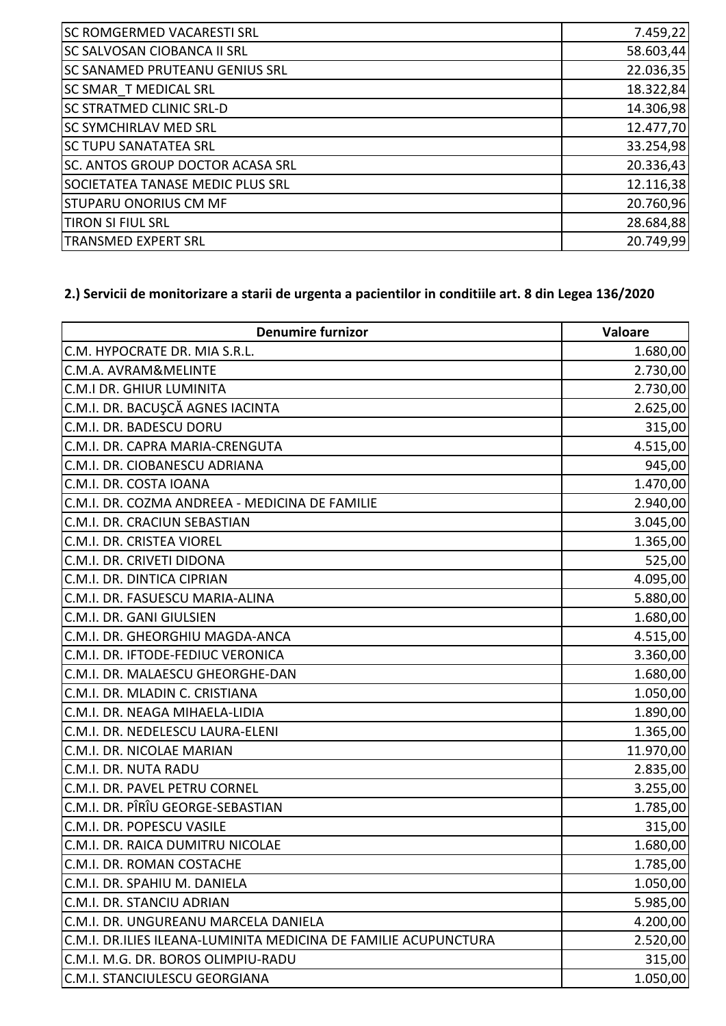| SC ROMGERMED VACARESTI SRL         | 7.459,22  |
|------------------------------------|-----------|
| <b>SC SALVOSAN CIOBANCA II SRL</b> | 58.603,44 |
| SC SANAMED PRUTEANU GENIUS SRL     | 22.036,35 |
| <b>SC SMAR T MEDICAL SRL</b>       | 18.322,84 |
| <b>SC STRATMED CLINIC SRL-D</b>    | 14.306,98 |
| <b>SC SYMCHIRLAV MED SRL</b>       | 12.477,70 |
| <b>SC TUPU SANATATEA SRL</b>       | 33.254,98 |
| SC. ANTOS GROUP DOCTOR ACASA SRL   | 20.336,43 |
| SOCIETATEA TANASE MEDIC PLUS SRL   | 12.116,38 |
| <b>STUPARU ONORIUS CM MF</b>       | 20.760,96 |
| <b>TIRON SI FIUL SRL</b>           | 28.684,88 |
| <b>TRANSMED EXPERT SRL</b>         | 20.749,99 |

## **2.) Servicii de monitorizare a starii de urgenta a pacientilor in conditiile art. 8 din Legea 136/2020**

| <b>Denumire furnizor</b>                                        | Valoare   |
|-----------------------------------------------------------------|-----------|
| C.M. HYPOCRATE DR. MIA S.R.L.                                   | 1.680,00  |
| C.M.A. AVRAM&MELINTE                                            | 2.730,00  |
| <b>C.M.I DR. GHIUR LUMINITA</b>                                 | 2.730,00  |
| C.M.I. DR. BACUŞCĂ AGNES IACINTA                                | 2.625,00  |
| C.M.I. DR. BADESCU DORU                                         | 315,00    |
| C.M.I. DR. CAPRA MARIA-CRENGUTA                                 | 4.515,00  |
| C.M.I. DR. CIOBANESCU ADRIANA                                   | 945,00    |
| C.M.I. DR. COSTA IOANA                                          | 1.470,00  |
| C.M.I. DR. COZMA ANDREEA - MEDICINA DE FAMILIE                  | 2.940,00  |
| C.M.I. DR. CRACIUN SEBASTIAN                                    | 3.045,00  |
| C.M.I. DR. CRISTEA VIOREL                                       | 1.365,00  |
| C.M.I. DR. CRIVETI DIDONA                                       | 525,00    |
| C.M.I. DR. DINTICA CIPRIAN                                      | 4.095,00  |
| C.M.I. DR. FASUESCU MARIA-ALINA                                 | 5.880,00  |
| C.M.I. DR. GANI GIULSIEN                                        | 1.680,00  |
| C.M.I. DR. GHEORGHIU MAGDA-ANCA                                 | 4.515,00  |
| C.M.I. DR. IFTODE-FEDIUC VERONICA                               | 3.360,00  |
| C.M.I. DR. MALAESCU GHEORGHE-DAN                                | 1.680,00  |
| C.M.I. DR. MLADIN C. CRISTIANA                                  | 1.050,00  |
| C.M.I. DR. NEAGA MIHAELA-LIDIA                                  | 1.890,00  |
| C.M.I. DR. NEDELESCU LAURA-ELENI                                | 1.365,00  |
| C.M.I. DR. NICOLAE MARIAN                                       | 11.970,00 |
| C.M.I. DR. NUTA RADU                                            | 2.835,00  |
| C.M.I. DR. PAVEL PETRU CORNEL                                   | 3.255,00  |
| C.M.I. DR. PÎRÎU GEORGE-SEBASTIAN                               | 1.785,00  |
| C.M.I. DR. POPESCU VASILE                                       | 315,00    |
| C.M.I. DR. RAICA DUMITRU NICOLAE                                | 1.680,00  |
| C.M.I. DR. ROMAN COSTACHE                                       | 1.785,00  |
| C.M.I. DR. SPAHIU M. DANIELA                                    | 1.050,00  |
| C.M.I. DR. STANCIU ADRIAN                                       | 5.985,00  |
| C.M.I. DR. UNGUREANU MARCELA DANIELA                            | 4.200,00  |
| C.M.I. DR.ILIES ILEANA-LUMINITA MEDICINA DE FAMILIE ACUPUNCTURA | 2.520,00  |
| C.M.I. M.G. DR. BOROS OLIMPIU-RADU                              | 315,00    |
| C.M.I. STANCIULESCU GEORGIANA                                   | 1.050,00  |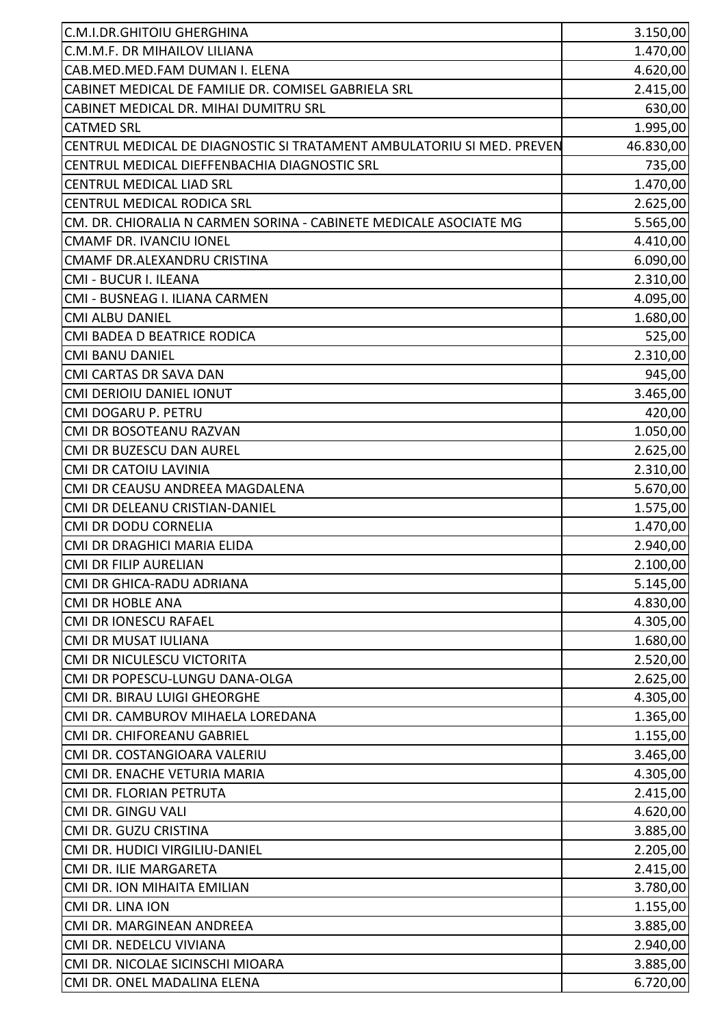| C.M.I.DR.GHITOIU GHERGHINA                                            | 3.150,00  |
|-----------------------------------------------------------------------|-----------|
| C.M.M.F. DR MIHAILOV LILIANA                                          | 1.470,00  |
| CAB.MED.MED.FAM DUMAN I. ELENA                                        | 4.620,00  |
| CABINET MEDICAL DE FAMILIE DR. COMISEL GABRIELA SRL                   | 2.415,00  |
| CABINET MEDICAL DR. MIHAI DUMITRU SRL                                 | 630,00    |
| <b>CATMED SRL</b>                                                     | 1.995,00  |
| CENTRUL MEDICAL DE DIAGNOSTIC SI TRATAMENT AMBULATORIU SI MED. PREVEN | 46.830,00 |
| CENTRUL MEDICAL DIEFFENBACHIA DIAGNOSTIC SRL                          | 735,00    |
| <b>CENTRUL MEDICAL LIAD SRL</b>                                       | 1.470,00  |
| <b>CENTRUL MEDICAL RODICA SRL</b>                                     | 2.625,00  |
| CM. DR. CHIORALIA N CARMEN SORINA - CABINETE MEDICALE ASOCIATE MG     | 5.565,00  |
| <b>CMAMF DR. IVANCIU IONEL</b>                                        | 4.410,00  |
| CMAMF DR.ALEXANDRU CRISTINA                                           | 6.090,00  |
| CMI - BUCUR I. ILEANA                                                 | 2.310,00  |
| CMI - BUSNEAG I. ILIANA CARMEN                                        | 4.095,00  |
| <b>CMI ALBU DANIEL</b>                                                | 1.680,00  |
| CMI BADEA D BEATRICE RODICA                                           | 525,00    |
| <b>CMI BANU DANIEL</b>                                                | 2.310,00  |
| CMI CARTAS DR SAVA DAN                                                | 945,00    |
| CMI DERIOIU DANIEL IONUT                                              | 3.465,00  |
| CMI DOGARU P. PETRU                                                   | 420,00    |
| CMI DR BOSOTEANU RAZVAN                                               | 1.050,00  |
| CMI DR BUZESCU DAN AUREL                                              | 2.625,00  |
| <b>CMI DR CATOIU LAVINIA</b>                                          | 2.310,00  |
| CMI DR CEAUSU ANDREEA MAGDALENA                                       | 5.670,00  |
| CMI DR DELEANU CRISTIAN-DANIEL                                        | 1.575,00  |
| CMI DR DODU CORNELIA                                                  | 1.470,00  |
| CMI DR DRAGHICI MARIA ELIDA                                           | 2.940,00  |
| <b>CMI DR FILIP AURELIAN</b>                                          | 2.100,00  |
| CMI DR GHICA-RADU ADRIANA                                             | 5.145,00  |
| <b>CMI DR HOBLE ANA</b>                                               | 4.830,00  |
| <b>CMI DR IONESCU RAFAEL</b>                                          | 4.305,00  |
| <b>CMI DR MUSAT IULIANA</b>                                           | 1.680,00  |
| CMI DR NICULESCU VICTORITA                                            | 2.520,00  |
| CMI DR POPESCU-LUNGU DANA-OLGA                                        | 2.625,00  |
| CMI DR. BIRAU LUIGI GHEORGHE                                          | 4.305,00  |
| CMI DR. CAMBUROV MIHAELA LOREDANA                                     | 1.365,00  |
| CMI DR. CHIFOREANU GABRIEL                                            | 1.155,00  |
| CMI DR. COSTANGIOARA VALERIU                                          | 3.465,00  |
| CMI DR. ENACHE VETURIA MARIA                                          | 4.305,00  |
| CMI DR. FLORIAN PETRUTA                                               | 2.415,00  |
| CMI DR. GINGU VALI                                                    | 4.620,00  |
| CMI DR. GUZU CRISTINA                                                 | 3.885,00  |
| CMI DR. HUDICI VIRGILIU-DANIEL                                        | 2.205,00  |
| CMI DR. ILIE MARGARETA                                                | 2.415,00  |
| CMI DR. ION MIHAITA EMILIAN                                           | 3.780,00  |
| CMI DR. LINA ION                                                      | 1.155,00  |
| CMI DR. MARGINEAN ANDREEA                                             | 3.885,00  |
| CMI DR. NEDELCU VIVIANA                                               | 2.940,00  |
| CMI DR. NICOLAE SICINSCHI MIOARA                                      | 3.885,00  |
| CMI DR. ONEL MADALINA ELENA                                           | 6.720,00  |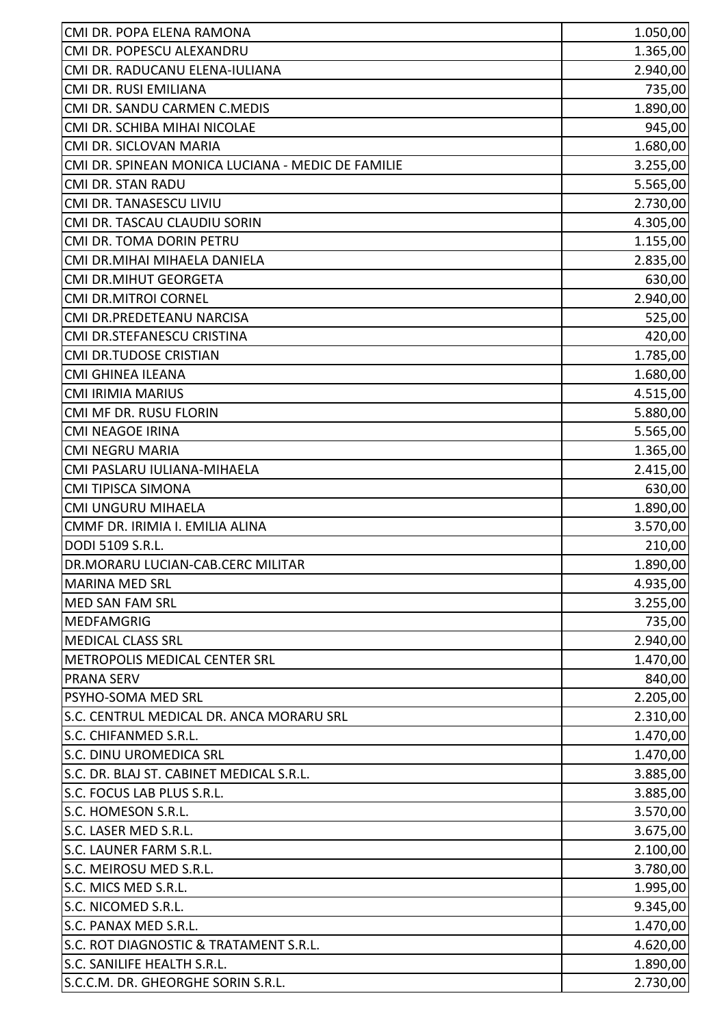| CMI DR. POPA ELENA RAMONA                         | 1.050,00 |
|---------------------------------------------------|----------|
| CMI DR. POPESCU ALEXANDRU                         | 1.365,00 |
| CMI DR. RADUCANU ELENA-IULIANA                    | 2.940,00 |
| CMI DR. RUSI EMILIANA                             | 735,00   |
| CMI DR. SANDU CARMEN C.MEDIS                      | 1.890,00 |
| CMI DR. SCHIBA MIHAI NICOLAE                      | 945,00   |
| CMI DR. SICLOVAN MARIA                            | 1.680,00 |
| CMI DR. SPINEAN MONICA LUCIANA - MEDIC DE FAMILIE | 3.255,00 |
| CMI DR. STAN RADU                                 | 5.565,00 |
| CMI DR. TANASESCU LIVIU                           | 2.730,00 |
| CMI DR. TASCAU CLAUDIU SORIN                      | 4.305,00 |
| CMI DR. TOMA DORIN PETRU                          | 1.155,00 |
| CMI DR.MIHAI MIHAELA DANIELA                      | 2.835,00 |
| <b>CMI DR.MIHUT GEORGETA</b>                      | 630,00   |
| <b>CMI DR.MITROI CORNEL</b>                       | 2.940,00 |
| CMI DR.PREDETEANU NARCISA                         | 525,00   |
| CMI DR.STEFANESCU CRISTINA                        | 420,00   |
| CMI DR.TUDOSE CRISTIAN                            | 1.785,00 |
| CMI GHINEA ILEANA                                 | 1.680,00 |
| <b>CMI IRIMIA MARIUS</b>                          | 4.515,00 |
| CMI MF DR. RUSU FLORIN                            | 5.880,00 |
| <b>CMI NEAGOE IRINA</b>                           | 5.565,00 |
| <b>CMI NEGRU MARIA</b>                            | 1.365,00 |
| CMI PASLARU IULIANA-MIHAELA                       | 2.415,00 |
| <b>CMI TIPISCA SIMONA</b>                         | 630,00   |
| CMI UNGURU MIHAELA                                | 1.890,00 |
| CMMF DR. IRIMIA I. EMILIA ALINA                   | 3.570,00 |
| DODI 5109 S.R.L.                                  | 210,00   |
| DR.MORARU LUCIAN-CAB.CERC MILITAR                 | 1.890,00 |
| <b>MARINA MED SRL</b>                             | 4.935,00 |
| MED SAN FAM SRL                                   | 3.255,00 |
| <b>MEDFAMGRIG</b>                                 | 735,00   |
| <b>MEDICAL CLASS SRL</b>                          | 2.940,00 |
| METROPOLIS MEDICAL CENTER SRL                     | 1.470,00 |
| <b>PRANA SERV</b>                                 | 840,00   |
| PSYHO-SOMA MED SRL                                | 2.205,00 |
| S.C. CENTRUL MEDICAL DR. ANCA MORARU SRL          | 2.310,00 |
| S.C. CHIFANMED S.R.L.                             | 1.470,00 |
| S.C. DINU UROMEDICA SRL                           | 1.470,00 |
| S.C. DR. BLAJ ST. CABINET MEDICAL S.R.L.          | 3.885,00 |
| S.C. FOCUS LAB PLUS S.R.L.                        | 3.885,00 |
| S.C. HOMESON S.R.L.                               | 3.570,00 |
| S.C. LASER MED S.R.L.                             | 3.675,00 |
| S.C. LAUNER FARM S.R.L.                           | 2.100,00 |
| S.C. MEIROSU MED S.R.L.                           | 3.780,00 |
| S.C. MICS MED S.R.L.                              | 1.995,00 |
| S.C. NICOMED S.R.L.                               | 9.345,00 |
| S.C. PANAX MED S.R.L.                             | 1.470,00 |
| S.C. ROT DIAGNOSTIC & TRATAMENT S.R.L.            | 4.620,00 |
| S.C. SANILIFE HEALTH S.R.L.                       | 1.890,00 |
| S.C.C.M. DR. GHEORGHE SORIN S.R.L.                | 2.730,00 |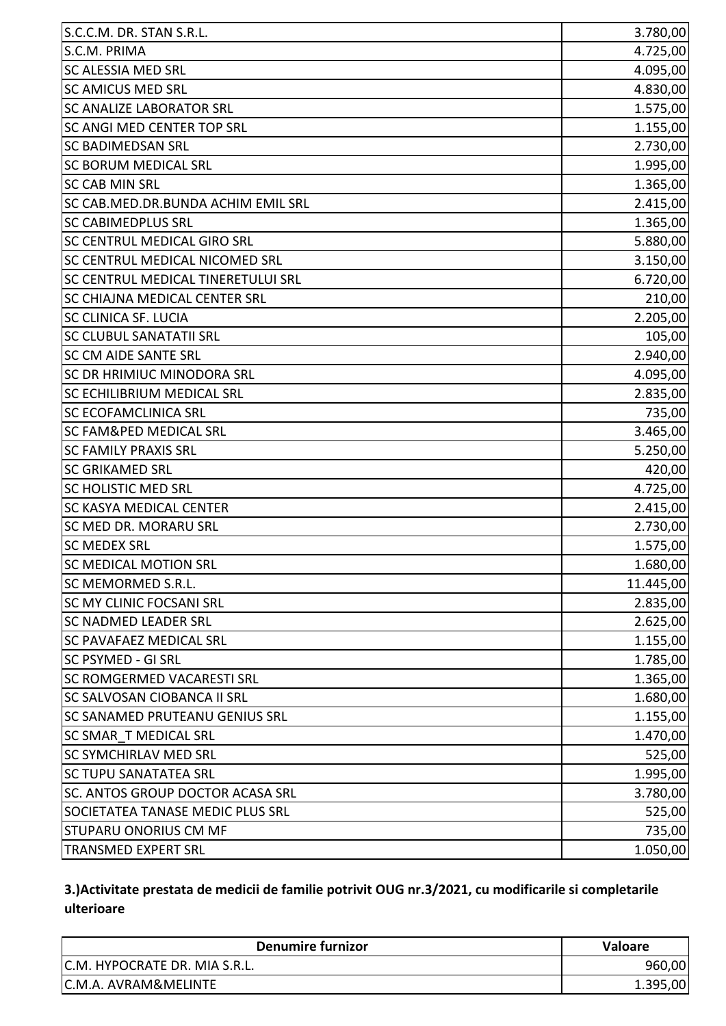| S.C.M. PRIMA<br>4.725,00<br><b>SC ALESSIA MED SRL</b><br><b>SC AMICUS MED SRL</b><br><b>SC ANALIZE LABORATOR SRL</b><br>SC ANGI MED CENTER TOP SRL<br><b>SC BADIMEDSAN SRL</b><br><b>SC BORUM MEDICAL SRL</b><br><b>SC CAB MIN SRL</b><br>SC CAB.MED.DR.BUNDA ACHIM EMIL SRL<br><b>SC CABIMEDPLUS SRL</b><br><b>SC CENTRUL MEDICAL GIRO SRL</b><br>5.880,00<br>SC CENTRUL MEDICAL NICOMED SRL<br>SC CENTRUL MEDICAL TINERETULUI SRL<br>SC CHIAJNA MEDICAL CENTER SRL<br><b>SC CLINICA SF. LUCIA</b><br><b>SC CLUBUL SANATATII SRL</b><br><b>SC CM AIDE SANTE SRL</b><br><b>SC DR HRIMIUC MINODORA SRL</b><br><b>SC ECHILIBRIUM MEDICAL SRL</b><br><b>SC ECOFAMCLINICA SRL</b><br><b>SC FAM&amp;PED MEDICAL SRL</b><br>3.465,00<br><b>SC FAMILY PRAXIS SRL</b><br><b>SC GRIKAMED SRL</b><br><b>SC HOLISTIC MED SRL</b><br>SC KASYA MEDICAL CENTER<br>SC MED DR. MORARU SRL<br><b>SC MEDEX SRL</b><br><b>SC MEDICAL MOTION SRL</b><br>SC MEMORMED S.R.L.<br><b>SC MY CLINIC FOCSANI SRL</b><br><b>SC NADMED LEADER SRL</b><br><b>SC PAVAFAEZ MEDICAL SRL</b><br>SC PSYMED - GI SRL<br><b>SC ROMGERMED VACARESTI SRL</b><br><b>SC SALVOSAN CIOBANCA II SRL</b><br><b>SC SANAMED PRUTEANU GENIUS SRL</b><br><b>SC SMAR T MEDICAL SRL</b><br><b>SC SYMCHIRLAV MED SRL</b><br><b>SC TUPU SANATATEA SRL</b><br>SC. ANTOS GROUP DOCTOR ACASA SRL<br>SOCIETATEA TANASE MEDIC PLUS SRL<br><b>STUPARU ONORIUS CM MF</b> | S.C.C.M. DR. STAN S.R.L.   | 3.780,00 |
|--------------------------------------------------------------------------------------------------------------------------------------------------------------------------------------------------------------------------------------------------------------------------------------------------------------------------------------------------------------------------------------------------------------------------------------------------------------------------------------------------------------------------------------------------------------------------------------------------------------------------------------------------------------------------------------------------------------------------------------------------------------------------------------------------------------------------------------------------------------------------------------------------------------------------------------------------------------------------------------------------------------------------------------------------------------------------------------------------------------------------------------------------------------------------------------------------------------------------------------------------------------------------------------------------------------------------------------------------------------------------------------------------------------|----------------------------|----------|
|                                                                                                                                                                                                                                                                                                                                                                                                                                                                                                                                                                                                                                                                                                                                                                                                                                                                                                                                                                                                                                                                                                                                                                                                                                                                                                                                                                                                              |                            |          |
| 4.830,00<br>1.575,00<br>1.155,00<br>2.730,00<br>1.995,00<br>1.365,00<br>2.415,00<br>1.365,00<br>3.150,00<br>6.720,00<br>210,00<br>2.205,00<br>105,00<br>2.940,00<br>4.095,00<br>2.835,00<br>735,00<br>5.250,00<br>420,00<br>4.725,00<br>2.415,00<br>2.730,00<br>1.575,00<br>1.680,00<br>11.445,00<br>2.835,00<br>2.625,00<br>1.155,00<br>1.785,00<br>1.365,00<br>1.680,00<br>1.155,00<br>1.470,00<br>525,00<br>1.995,00<br>3.780,00<br>525,00<br>735,00                                                                                                                                                                                                                                                                                                                                                                                                                                                                                                                                                                                                                                                                                                                                                                                                                                                                                                                                                      |                            | 4.095,00 |
|                                                                                                                                                                                                                                                                                                                                                                                                                                                                                                                                                                                                                                                                                                                                                                                                                                                                                                                                                                                                                                                                                                                                                                                                                                                                                                                                                                                                              |                            |          |
|                                                                                                                                                                                                                                                                                                                                                                                                                                                                                                                                                                                                                                                                                                                                                                                                                                                                                                                                                                                                                                                                                                                                                                                                                                                                                                                                                                                                              |                            |          |
|                                                                                                                                                                                                                                                                                                                                                                                                                                                                                                                                                                                                                                                                                                                                                                                                                                                                                                                                                                                                                                                                                                                                                                                                                                                                                                                                                                                                              |                            |          |
|                                                                                                                                                                                                                                                                                                                                                                                                                                                                                                                                                                                                                                                                                                                                                                                                                                                                                                                                                                                                                                                                                                                                                                                                                                                                                                                                                                                                              |                            |          |
|                                                                                                                                                                                                                                                                                                                                                                                                                                                                                                                                                                                                                                                                                                                                                                                                                                                                                                                                                                                                                                                                                                                                                                                                                                                                                                                                                                                                              |                            |          |
|                                                                                                                                                                                                                                                                                                                                                                                                                                                                                                                                                                                                                                                                                                                                                                                                                                                                                                                                                                                                                                                                                                                                                                                                                                                                                                                                                                                                              |                            |          |
|                                                                                                                                                                                                                                                                                                                                                                                                                                                                                                                                                                                                                                                                                                                                                                                                                                                                                                                                                                                                                                                                                                                                                                                                                                                                                                                                                                                                              |                            |          |
|                                                                                                                                                                                                                                                                                                                                                                                                                                                                                                                                                                                                                                                                                                                                                                                                                                                                                                                                                                                                                                                                                                                                                                                                                                                                                                                                                                                                              |                            |          |
|                                                                                                                                                                                                                                                                                                                                                                                                                                                                                                                                                                                                                                                                                                                                                                                                                                                                                                                                                                                                                                                                                                                                                                                                                                                                                                                                                                                                              |                            |          |
|                                                                                                                                                                                                                                                                                                                                                                                                                                                                                                                                                                                                                                                                                                                                                                                                                                                                                                                                                                                                                                                                                                                                                                                                                                                                                                                                                                                                              |                            |          |
|                                                                                                                                                                                                                                                                                                                                                                                                                                                                                                                                                                                                                                                                                                                                                                                                                                                                                                                                                                                                                                                                                                                                                                                                                                                                                                                                                                                                              |                            |          |
|                                                                                                                                                                                                                                                                                                                                                                                                                                                                                                                                                                                                                                                                                                                                                                                                                                                                                                                                                                                                                                                                                                                                                                                                                                                                                                                                                                                                              |                            |          |
|                                                                                                                                                                                                                                                                                                                                                                                                                                                                                                                                                                                                                                                                                                                                                                                                                                                                                                                                                                                                                                                                                                                                                                                                                                                                                                                                                                                                              |                            |          |
|                                                                                                                                                                                                                                                                                                                                                                                                                                                                                                                                                                                                                                                                                                                                                                                                                                                                                                                                                                                                                                                                                                                                                                                                                                                                                                                                                                                                              |                            |          |
|                                                                                                                                                                                                                                                                                                                                                                                                                                                                                                                                                                                                                                                                                                                                                                                                                                                                                                                                                                                                                                                                                                                                                                                                                                                                                                                                                                                                              |                            |          |
|                                                                                                                                                                                                                                                                                                                                                                                                                                                                                                                                                                                                                                                                                                                                                                                                                                                                                                                                                                                                                                                                                                                                                                                                                                                                                                                                                                                                              |                            |          |
|                                                                                                                                                                                                                                                                                                                                                                                                                                                                                                                                                                                                                                                                                                                                                                                                                                                                                                                                                                                                                                                                                                                                                                                                                                                                                                                                                                                                              |                            |          |
|                                                                                                                                                                                                                                                                                                                                                                                                                                                                                                                                                                                                                                                                                                                                                                                                                                                                                                                                                                                                                                                                                                                                                                                                                                                                                                                                                                                                              |                            |          |
|                                                                                                                                                                                                                                                                                                                                                                                                                                                                                                                                                                                                                                                                                                                                                                                                                                                                                                                                                                                                                                                                                                                                                                                                                                                                                                                                                                                                              |                            |          |
|                                                                                                                                                                                                                                                                                                                                                                                                                                                                                                                                                                                                                                                                                                                                                                                                                                                                                                                                                                                                                                                                                                                                                                                                                                                                                                                                                                                                              |                            |          |
|                                                                                                                                                                                                                                                                                                                                                                                                                                                                                                                                                                                                                                                                                                                                                                                                                                                                                                                                                                                                                                                                                                                                                                                                                                                                                                                                                                                                              |                            |          |
|                                                                                                                                                                                                                                                                                                                                                                                                                                                                                                                                                                                                                                                                                                                                                                                                                                                                                                                                                                                                                                                                                                                                                                                                                                                                                                                                                                                                              |                            |          |
|                                                                                                                                                                                                                                                                                                                                                                                                                                                                                                                                                                                                                                                                                                                                                                                                                                                                                                                                                                                                                                                                                                                                                                                                                                                                                                                                                                                                              |                            |          |
|                                                                                                                                                                                                                                                                                                                                                                                                                                                                                                                                                                                                                                                                                                                                                                                                                                                                                                                                                                                                                                                                                                                                                                                                                                                                                                                                                                                                              |                            |          |
|                                                                                                                                                                                                                                                                                                                                                                                                                                                                                                                                                                                                                                                                                                                                                                                                                                                                                                                                                                                                                                                                                                                                                                                                                                                                                                                                                                                                              |                            |          |
|                                                                                                                                                                                                                                                                                                                                                                                                                                                                                                                                                                                                                                                                                                                                                                                                                                                                                                                                                                                                                                                                                                                                                                                                                                                                                                                                                                                                              |                            |          |
|                                                                                                                                                                                                                                                                                                                                                                                                                                                                                                                                                                                                                                                                                                                                                                                                                                                                                                                                                                                                                                                                                                                                                                                                                                                                                                                                                                                                              |                            |          |
|                                                                                                                                                                                                                                                                                                                                                                                                                                                                                                                                                                                                                                                                                                                                                                                                                                                                                                                                                                                                                                                                                                                                                                                                                                                                                                                                                                                                              |                            |          |
|                                                                                                                                                                                                                                                                                                                                                                                                                                                                                                                                                                                                                                                                                                                                                                                                                                                                                                                                                                                                                                                                                                                                                                                                                                                                                                                                                                                                              |                            |          |
|                                                                                                                                                                                                                                                                                                                                                                                                                                                                                                                                                                                                                                                                                                                                                                                                                                                                                                                                                                                                                                                                                                                                                                                                                                                                                                                                                                                                              |                            |          |
|                                                                                                                                                                                                                                                                                                                                                                                                                                                                                                                                                                                                                                                                                                                                                                                                                                                                                                                                                                                                                                                                                                                                                                                                                                                                                                                                                                                                              |                            |          |
|                                                                                                                                                                                                                                                                                                                                                                                                                                                                                                                                                                                                                                                                                                                                                                                                                                                                                                                                                                                                                                                                                                                                                                                                                                                                                                                                                                                                              |                            |          |
|                                                                                                                                                                                                                                                                                                                                                                                                                                                                                                                                                                                                                                                                                                                                                                                                                                                                                                                                                                                                                                                                                                                                                                                                                                                                                                                                                                                                              |                            |          |
|                                                                                                                                                                                                                                                                                                                                                                                                                                                                                                                                                                                                                                                                                                                                                                                                                                                                                                                                                                                                                                                                                                                                                                                                                                                                                                                                                                                                              |                            |          |
|                                                                                                                                                                                                                                                                                                                                                                                                                                                                                                                                                                                                                                                                                                                                                                                                                                                                                                                                                                                                                                                                                                                                                                                                                                                                                                                                                                                                              |                            |          |
|                                                                                                                                                                                                                                                                                                                                                                                                                                                                                                                                                                                                                                                                                                                                                                                                                                                                                                                                                                                                                                                                                                                                                                                                                                                                                                                                                                                                              |                            |          |
|                                                                                                                                                                                                                                                                                                                                                                                                                                                                                                                                                                                                                                                                                                                                                                                                                                                                                                                                                                                                                                                                                                                                                                                                                                                                                                                                                                                                              |                            |          |
|                                                                                                                                                                                                                                                                                                                                                                                                                                                                                                                                                                                                                                                                                                                                                                                                                                                                                                                                                                                                                                                                                                                                                                                                                                                                                                                                                                                                              |                            |          |
|                                                                                                                                                                                                                                                                                                                                                                                                                                                                                                                                                                                                                                                                                                                                                                                                                                                                                                                                                                                                                                                                                                                                                                                                                                                                                                                                                                                                              |                            |          |
|                                                                                                                                                                                                                                                                                                                                                                                                                                                                                                                                                                                                                                                                                                                                                                                                                                                                                                                                                                                                                                                                                                                                                                                                                                                                                                                                                                                                              |                            |          |
|                                                                                                                                                                                                                                                                                                                                                                                                                                                                                                                                                                                                                                                                                                                                                                                                                                                                                                                                                                                                                                                                                                                                                                                                                                                                                                                                                                                                              | <b>TRANSMED EXPERT SRL</b> | 1.050,00 |

## **3.)Activitate prestata de medicii de familie potrivit OUG nr.3/2021, cu modificarile si completarile ulterioare**

| Denumire furnizor               | <b>Valoare</b> |
|---------------------------------|----------------|
| C.M. HYPOCRATE DR. MIA S.R.L.   | 960,00         |
| <b>C.M.A. AVRAM&amp;MELINTE</b> | 1.395,00       |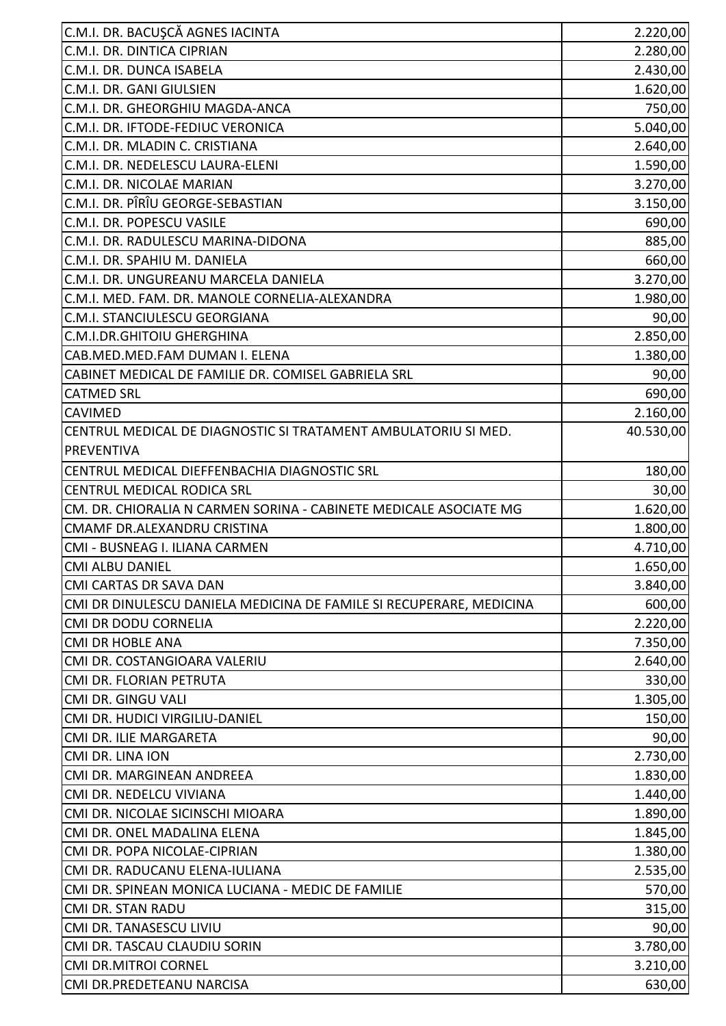| C.M.I. DR. BACUŞCĂ AGNES IACINTA                                    | 2.220,00  |
|---------------------------------------------------------------------|-----------|
| C.M.I. DR. DINTICA CIPRIAN                                          | 2.280,00  |
| C.M.I. DR. DUNCA ISABELA                                            | 2.430,00  |
| C.M.I. DR. GANI GIULSIEN                                            | 1.620,00  |
| C.M.I. DR. GHEORGHIU MAGDA-ANCA                                     | 750,00    |
| C.M.I. DR. IFTODE-FEDIUC VERONICA                                   | 5.040,00  |
| C.M.I. DR. MLADIN C. CRISTIANA                                      | 2.640,00  |
| C.M.I. DR. NEDELESCU LAURA-ELENI                                    | 1.590,00  |
| C.M.I. DR. NICOLAE MARIAN                                           | 3.270,00  |
| C.M.I. DR. PÎRÎU GEORGE-SEBASTIAN                                   | 3.150,00  |
| C.M.I. DR. POPESCU VASILE                                           | 690,00    |
| C.M.I. DR. RADULESCU MARINA-DIDONA                                  | 885,00    |
| C.M.I. DR. SPAHIU M. DANIELA                                        | 660,00    |
| C.M.I. DR. UNGUREANU MARCELA DANIELA                                | 3.270,00  |
| C.M.I. MED. FAM. DR. MANOLE CORNELIA-ALEXANDRA                      | 1.980,00  |
| C.M.I. STANCIULESCU GEORGIANA                                       | 90,00     |
| C.M.I.DR.GHITOIU GHERGHINA                                          | 2.850,00  |
| CAB.MED.MED.FAM DUMAN I. ELENA                                      | 1.380,00  |
| CABINET MEDICAL DE FAMILIE DR. COMISEL GABRIELA SRL                 | 90,00     |
| <b>CATMED SRL</b>                                                   | 690,00    |
| <b>CAVIMED</b>                                                      | 2.160,00  |
| CENTRUL MEDICAL DE DIAGNOSTIC SI TRATAMENT AMBULATORIU SI MED.      | 40.530,00 |
| PREVENTIVA                                                          |           |
| CENTRUL MEDICAL DIEFFENBACHIA DIAGNOSTIC SRL                        | 180,00    |
| <b>CENTRUL MEDICAL RODICA SRL</b>                                   | 30,00     |
| CM. DR. CHIORALIA N CARMEN SORINA - CABINETE MEDICALE ASOCIATE MG   | 1.620,00  |
| CMAMF DR.ALEXANDRU CRISTINA                                         | 1.800,00  |
| CMI - BUSNEAG I. ILIANA CARMEN                                      | 4.710,00  |
| <b>CMI ALBU DANIEL</b>                                              | 1.650,00  |
| CMI CARTAS DR SAVA DAN                                              | 3.840,00  |
| CMI DR DINULESCU DANIELA MEDICINA DE FAMILE SI RECUPERARE, MEDICINA | 600,00    |
| CMI DR DODU CORNELIA                                                | 2.220,00  |
| <b>CMI DR HOBLE ANA</b>                                             | 7.350,00  |
| CMI DR. COSTANGIOARA VALERIU                                        | 2.640,00  |
| CMI DR. FLORIAN PETRUTA                                             | 330,00    |
| CMI DR. GINGU VALI                                                  | 1.305,00  |
| CMI DR. HUDICI VIRGILIU-DANIEL                                      | 150,00    |
| CMI DR. ILIE MARGARETA                                              | 90,00     |
| CMI DR. LINA ION                                                    | 2.730,00  |
| CMI DR. MARGINEAN ANDREEA                                           | 1.830,00  |
| CMI DR. NEDELCU VIVIANA                                             | 1.440,00  |
| CMI DR. NICOLAE SICINSCHI MIOARA                                    | 1.890,00  |
| CMI DR. ONEL MADALINA ELENA                                         | 1.845,00  |
| CMI DR. POPA NICOLAE-CIPRIAN                                        | 1.380,00  |
| CMI DR. RADUCANU ELENA-IULIANA                                      | 2.535,00  |
| CMI DR. SPINEAN MONICA LUCIANA - MEDIC DE FAMILIE                   | 570,00    |
| <b>CMI DR. STAN RADU</b>                                            | 315,00    |
| CMI DR. TANASESCU LIVIU                                             | 90,00     |
| CMI DR. TASCAU CLAUDIU SORIN                                        | 3.780,00  |
| <b>CMI DR.MITROI CORNEL</b>                                         | 3.210,00  |
| CMI DR.PREDETEANU NARCISA                                           | 630,00    |